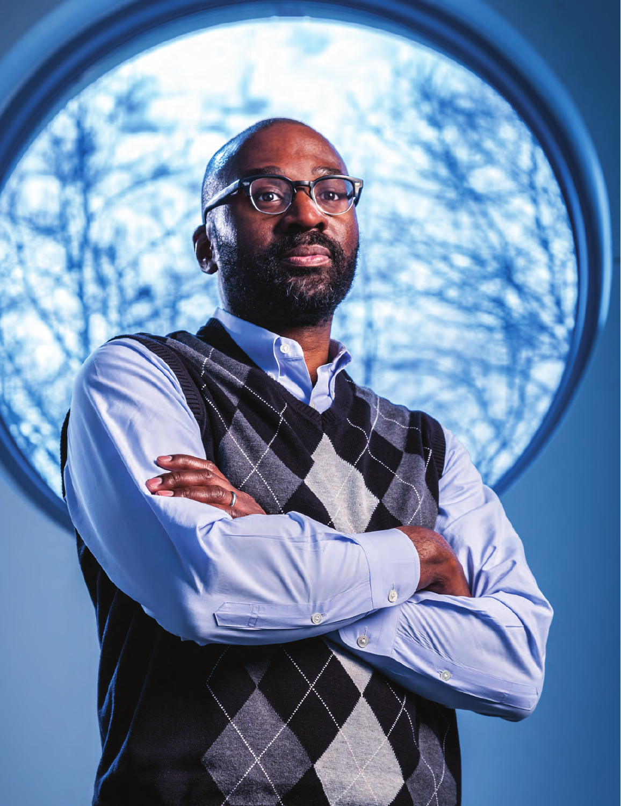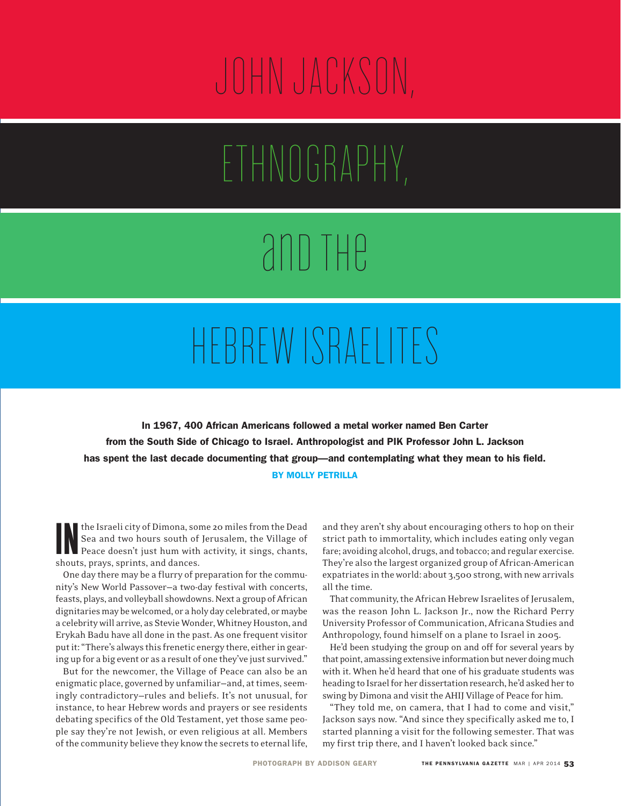### JOHN JACKSON,

# ETHNOGRAPHY,

## and the

#### HEBREW ISRAELITES

In 1967, 400 African Americans followed a metal worker named Ben Carter from the South Side of Chicago to Israel. Anthropologist and PIK Professor John L. Jackson has spent the last decade documenting that group—and contemplating what they mean to his field. BY MOLLY PETRILLA

INthe Israeli city of Dimona, some 20 miles from the Dead<br>Sea and two hours south of Jerusalem, the Village of<br>Peace doesn't just hum with activity, it sings, chants. Sea and two hours south of Jerusalem, the Village of Peace doesn't just hum with activity, it sings, chants, shouts, prays, sprints, and dances.

One day there may be a flurry of preparation for the community's New World Passover—a two-day festival with concerts, feasts, plays, and volleyball showdowns. Next a group of African dignitaries may be welcomed, or a holy day celebrated, or maybe a celebrity will arrive, as Stevie Wonder, Whitney Houston, and Erykah Badu have all done in the past. As one frequent visitor put it: "There's always this frenetic energy there, either in gearing up for a big event or as a result of one they've just survived."

But for the newcomer, the Village of Peace can also be an enigmatic place, governed by unfamiliar—and, at times, seemingly contradictory—rules and beliefs. It's not unusual, for instance, to hear Hebrew words and prayers or see residents debating specifics of the Old Testament, yet those same people say they're not Jewish, or even religious at all. Members of the community believe they know the secrets to eternal life,

and they aren't shy about encouraging others to hop on their strict path to immortality, which includes eating only vegan fare; avoiding alcohol, drugs, and tobacco; and regular exercise. They're also the largest organized group of African-American expatriates in the world: about 3,500 strong, with new arrivals all the time.

That community, the African Hebrew Israelites of Jerusalem, was the reason John L. Jackson Jr., now the Richard Perry University Professor of Communication, Africana Studies and Anthropology, found himself on a plane to Israel in 2005.

He'd been studying the group on and off for several years by that point, amassing extensive information but never doing much with it. When he'd heard that one of his graduate students was heading to Israel for her dissertation research, he'd asked her to swing by Dimona and visit the AHIJ Village of Peace for him.

"They told me, on camera, that I had to come and visit," Jackson says now. "And since they specifically asked me to, I started planning a visit for the following semester. That was my first trip there, and I haven't looked back since."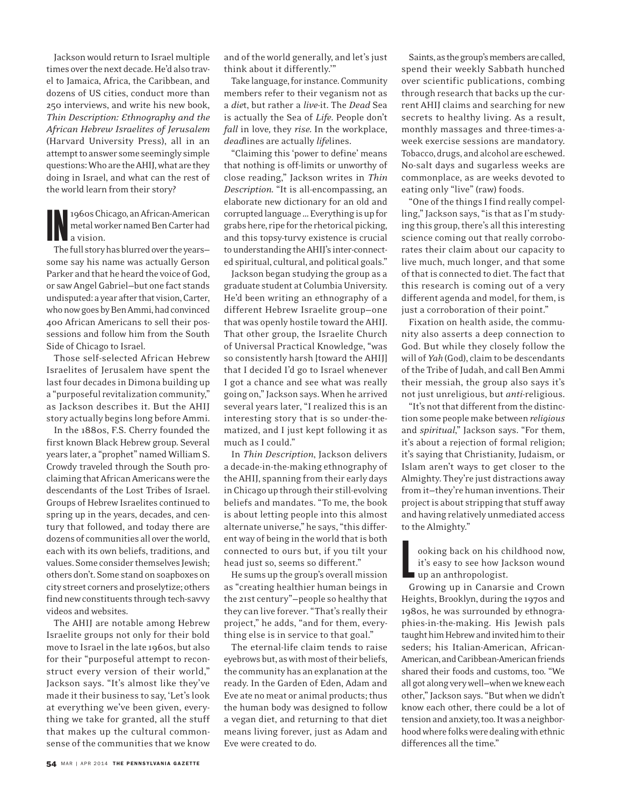Jackson would return to Israel multiple times over the next decade. He'd also travel to Jamaica, Africa, the Caribbean, and dozens of US cities, conduct more than 250 interviews, and write his new book, *Thin Description: Ethnography and the African Hebrew Israelites of Jerusalem*  (Harvard University Press), all in an attempt to answer some seemingly simple questions: Who are the AHIJ, what are they doing in Israel, and what can the rest of the world learn from their story?

1960s Chicago, an African-American<br>metal worker named Ben Carter had<br>a vision. metal worker named Ben Carter had a vision.

The full story has blurred over the years some say his name was actually Gerson Parker and that he heard the voice of God, or saw Angel Gabriel—but one fact stands undisputed: a year after that vision, Carter, who now goes by Ben Ammi, had convinced 400 African Americans to sell their possessions and follow him from the South Side of Chicago to Israel.

Those self-selected African Hebrew Israelites of Jerusalem have spent the last four decades in Dimona building up a "purposeful revitalization community," as Jackson describes it. But the AHIJ story actually begins long before Ammi.

In the 1880s, F.S. Cherry founded the first known Black Hebrew group. Several years later, a "prophet" named William S. Crowdy traveled through the South proclaiming that African Americans were the descendants of the Lost Tribes of Israel. Groups of Hebrew Israelites continued to spring up in the years, decades, and century that followed, and today there are dozens of communities all over the world, each with its own beliefs, traditions, and values. Some consider themselves Jewish; others don't. Some stand on soapboxes on city street corners and proselytize; others find new constituents through tech-savvy videos and websites.

The AHIJ are notable among Hebrew Israelite groups not only for their bold move to Israel in the late 1960s, but also for their "purposeful attempt to reconstruct every version of their world," Jackson says. "It's almost like they've made it their business to say, 'Let's look at everything we've been given, everything we take for granted, all the stuff that makes up the cultural commonsense of the communities that we know

and of the world generally, and let's just think about it differently.'"

Take language, for instance. Community members refer to their veganism not as a *die*t, but rather a *live-*it. The *Dead* Sea is actually the Sea of *Life*. People don't *fall* in love*,* they *rise.* In the workplace, *dead*lines are actually *life*lines.

"Claiming this 'power to define' means that nothing is off-limits or unworthy of close reading," Jackson writes in *Thin Description*. "It is all-encompassing, an elaborate new dictionary for an old and corrupted language … Everything is up for grabs here, ripe for the rhetorical picking, and this topsy-turvy existence is crucial to understanding the AHIJ's inter-connected spiritual, cultural, and political goals."

Jackson began studying the group as a graduate student at Columbia University. He'd been writing an ethnography of a different Hebrew Israelite group—one that was openly hostile toward the AHIJ. That other group, the Israelite Church of Universal Practical Knowledge, "was so consistently harsh [toward the AHIJ] that I decided I'd go to Israel whenever I got a chance and see what was really going on," Jackson says. When he arrived several years later, "I realized this is an interesting story that is so under-thematized, and I just kept following it as much as I could."

In *Thin Description*, Jackson delivers a decade-in-the-making ethnography of the AHIJ, spanning from their early days in Chicago up through their still-evolving beliefs and mandates. "To me, the book is about letting people into this almost alternate universe," he says, "this different way of being in the world that is both connected to ours but, if you tilt your head just so, seems so different."

He sums up the group's overall mission as "creating healthier human beings in the 21st century"—people so healthy that they can live forever. "That's really their project," he adds, "and for them, everything else is in service to that goal."

The eternal-life claim tends to raise eyebrows but, as with most of their beliefs, the community has an explanation at the ready. In the Garden of Eden, Adam and Eve ate no meat or animal products; thus the human body was designed to follow a vegan diet, and returning to that diet means living forever, just as Adam and Eve were created to do.

Saints, as the group's members are called, spend their weekly Sabbath hunched over scientific publications, combing through research that backs up the current AHIJ claims and searching for new secrets to healthy living. As a result, monthly massages and three-times-aweek exercise sessions are mandatory. Tobacco, drugs, and alcohol are eschewed. No-salt days and sugarless weeks are commonplace, as are weeks devoted to eating only "live" (raw) foods.

"One of the things I find really compelling," Jackson says, "is that as I'm studying this group, there's all this interesting science coming out that really corroborates their claim about our capacity to live much, much longer, and that some of that is connected to diet. The fact that this research is coming out of a very different agenda and model, for them, is just a corroboration of their point."

Fixation on health aside, the community also asserts a deep connection to God. But while they closely follow the will of *Yah* (God), claim to be descendants of the Tribe of Judah, and call Ben Ammi their messiah, the group also says it's not just unreligious, but *anti*-religious.

"It's not that different from the distinction some people make between *religious*  and *spiritual*," Jackson says. "For them, it's about a rejection of formal religion; it's saying that Christianity, Judaism, or Islam aren't ways to get closer to the Almighty. They're just distractions away from it—they're human inventions. Their project is about stripping that stuff away and having relatively unmediated access

to the Almighty."<br>
ooking back<br>
it's easy to s<br>
up an anthro ooking back on his childhood now, it's easy to see how Jackson wound up an anthropologist.

Growing up in Canarsie and Crown Heights, Brooklyn, during the 1970s and 1980s, he was surrounded by ethnographies-in-the-making. His Jewish pals taught him Hebrew and invited him to their seders; his Italian-American, African-American, and Caribbean-American friends shared their foods and customs, too. "We all got along very well—when we knew each other," Jackson says. "But when we didn't know each other, there could be a lot of tension and anxiety, too. It was a neighborhood where folks were dealing with ethnic differences all the time."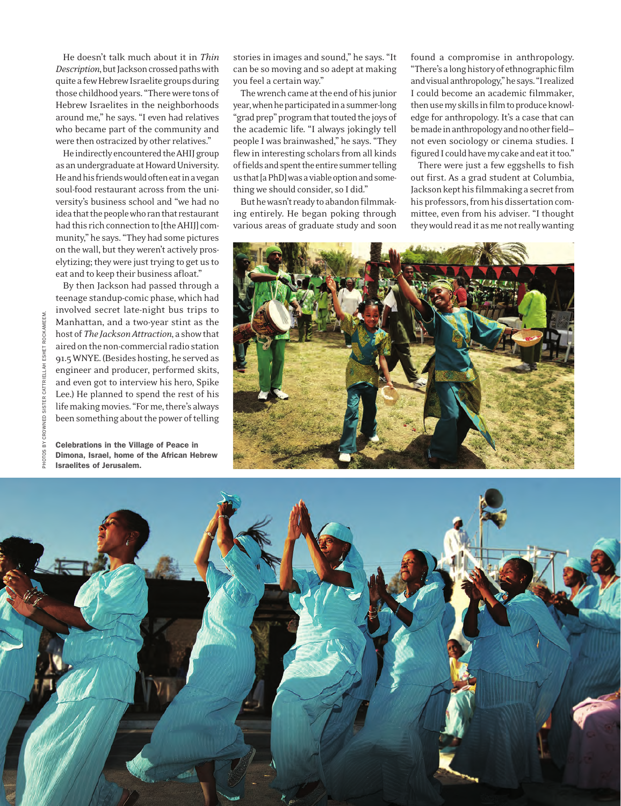He doesn't talk much about it in *Thin Description*, but Jackson crossed paths with quite a few Hebrew Israelite groups during those childhood years. "There were tons of Hebrew Israelites in the neighborhoods around me," he says. "I even had relatives who became part of the community and were then ostracized by other relatives."

He indirectly encountered the AHIJ group as an undergraduate at Howard University. He and his friends would often eat in a vegan soul-food restaurant across from the university's business school and "we had no idea that the people who ran that restaurant had this rich connection to [the AHIJ] community," he says. "They had some pictures on the wall, but they weren't actively proselytizing; they were just trying to get us to eat and to keep their business afloat."

By then Jackson had passed through a teenage standup-comic phase, which had involved secret late-night bus trips to Manhattan, and a two-year stint as the host of *The Jackson Attraction*, a show that aired on the non-commercial radio station 91.5 WNYE. (Besides hosting, he served as engineer and producer, performed skits, and even got to interview his hero, Spike Lee.) He planned to spend the rest of his life making movies. "For me, there's always been something about the power of telling

Celebrations in the Village of Peace in Dimona, Israel, home of the African Hebrew Israelites of Jerusalem.

stories in images and sound," he says. "It can be so moving and so adept at making you feel a certain way."

The wrench came at the end of his junior year, when he participated in a summer-long "grad prep" program that touted the joys of the academic life. "I always jokingly tell people I was brainwashed," he says. "They flew in interesting scholars from all kinds of fields and spent the entire summer telling us that [a PhD] was a viable option and something we should consider, so I did."

But he wasn't ready to abandon filmmaking entirely. He began poking through various areas of graduate study and soon found a compromise in anthropology. "There's a long history of ethnographic film and visual anthropology," he says. "I realized I could become an academic filmmaker, then use my skills in film to produce knowledge for anthropology. It's a case that can be made in anthropology and no other field not even sociology or cinema studies. I figured I could have my cake and eat it too."

There were just a few eggshells to fish out first. As a grad student at Columbia, Jackson kept his filmmaking a secret from his professors, from his dissertation committee, even from his adviser. "I thought they would read it as me not really wanting



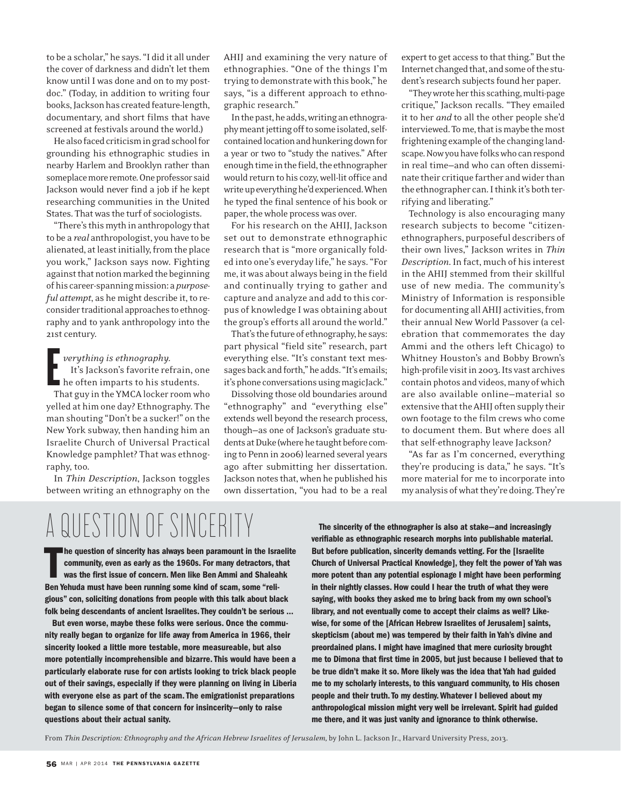to be a scholar," he says. "I did it all under the cover of darkness and didn't let them know until I was done and on to my postdoc." (Today, in addition to writing four books, Jackson has created feature-length, documentary, and short films that have screened at festivals around the world.)

He also faced criticism in grad school for grounding his ethnographic studies in nearby Harlem and Brooklyn rather than someplace more remote. One professor said Jackson would never find a job if he kept researching communities in the United States. That was the turf of sociologists.

"There's this myth in anthropology that to be a *real* anthropologist, you have to be alienated, at least initially, from the place you work," Jackson says now. Fighting against that notion marked the beginning of his career-spanning mission: a *purposeful attempt*, as he might describe it, to reconsider traditional approaches to ethnography and to yank anthropology into the 21st century.

 $\begin{bmatrix} 1 & 0 \\ 0 & 1 \end{bmatrix}$ *verything is ethnography.* It's Jackson's favorite refrain, one he often imparts to his students.

That guy in the YMCA locker room who yelled at him one day? Ethnography. The man shouting "Don't be a sucker!" on the New York subway, then handing him an Israelite Church of Universal Practical Knowledge pamphlet? That was ethnography, too.

In *Thin Description*, Jackson toggles between writing an ethnography on the

AHIJ and examining the very nature of ethnographies. "One of the things I'm trying to demonstrate with this book," he says, "is a different approach to ethnographic research."

In the past, he adds, writing an ethnography meant jetting off to some isolated, selfcontained location and hunkering down for a year or two to "study the natives." After enough time in the field, the ethnographer would return to his cozy, well-lit office and write up everything he'd experienced. When he typed the final sentence of his book or paper, the whole process was over.

For his research on the AHIJ, Jackson set out to demonstrate ethnographic research that is "more organically folded into one's everyday life," he says. "For me, it was about always being in the field and continually trying to gather and capture and analyze and add to this corpus of knowledge I was obtaining about the group's efforts all around the world."

That's the future of ethnography, he says: part physical "field site" research, part everything else. "It's constant text messages back and forth," he adds. "It's emails; it's phone conversations using magicJack."

Dissolving those old boundaries around "ethnography" and "everything else" extends well beyond the research process, though—as one of Jackson's graduate students at Duke (where he taught before coming to Penn in 2006) learned several years ago after submitting her dissertation. Jackson notes that, when he published his own dissertation, "you had to be a real expert to get access to that thing." But the Internet changed that, and some of the student's research subjects found her paper.

"They wrote her this scathing, multi-page critique," Jackson recalls. "They emailed it to her *and* to all the other people she'd interviewed. To me, that is maybe the most frightening example of the changing landscape. Now you have folks who can respond in real time—and who can often disseminate their critique farther and wider than the ethnographer can. I think it's both terrifying and liberating."

Technology is also encouraging many research subjects to become "citizenethnographers, purposeful describers of their own lives," Jackson writes in *Thin Description*. In fact, much of his interest in the AHIJ stemmed from their skillful use of new media. The community's Ministry of Information is responsible for documenting all AHIJ activities, from their annual New World Passover (a celebration that commemorates the day Ammi and the others left Chicago) to Whitney Houston's and Bobby Brown's high-profile visit in 2003. Its vast archives contain photos and videos, many of which are also available online—material so extensive that the AHIJ often supply their own footage to the film crews who come to document them. But where does all that self-ethnography leave Jackson?

"As far as I'm concerned, everything they're producing is data," he says. "It's more material for me to incorporate into my analysis of what they're doing. They're

#### **QUESTION OF SINCERITY**

**The question of sincerity has always been paramount in the Isra<br>
community, even as early as the 1960s. For many detractors, the<br>
some first issue of concern. Men like Ben Ammi and Shaleal<br>
Ben Yehuda must have been runni he question of sincerity has always been paramount in the Israelite community, even as early as the 1960s. For many detractors, that was the first issue of concern. Men like Ben Ammi and Shaleahk gious" con, soliciting donations from people with this talk about black folk being descendants of ancient Israelites. They couldn't be serious …** 

**But even worse, maybe these folks were serious. Once the community really began to organize for life away from America in 1966, their sincerity looked a little more testable, more measureable, but also more potentially incomprehensible and bizarre. This would have been a particularly elaborate ruse for con artists looking to trick black people out of their savings, especially if they were planning on living in Liberia with everyone else as part of the scam. The emigrationist preparations began to silence some of that concern for insincerity—only to raise questions about their actual sanity.**

**The sincerity of the ethnographer is also at stake—and increasingly verifiable as ethnographic research morphs into publishable material. But before publication, sincerity demands vetting. For the [Israelite Church of Universal Practical Knowledge], they felt the power of Yah was more potent than any potential espionage I might have been performing in their nightly classes. How could I hear the truth of what they were saying, with books they asked me to bring back from my own school's library, and not eventually come to accept their claims as well? Likewise, for some of the [African Hebrew Israelites of Jerusalem] saints, skepticism (about me) was tempered by their faith in Yah's divine and preordained plans. I might have imagined that mere curiosity brought me to Dimona that first time in 2005, but just because I believed that to be true didn't make it so. More likely was the idea that Yah had guided me to my scholarly interests, to this vanguard community, to His chosen people and their truth. To my destiny. Whatever I believed about my anthropological mission might very well be irrelevant. Spirit had guided me there, and it was just vanity and ignorance to think otherwise.**

From *Thin Description: Ethnography and the African Hebrew Israelites of Jerusalem,* by John L. Jackson Jr., Harvard University Press, 2013.